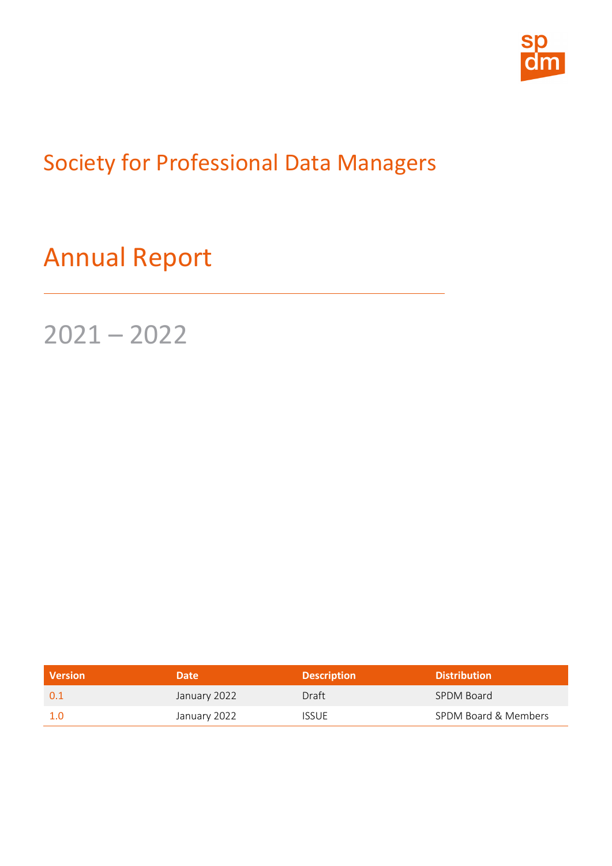

Society for Professional Data Managers

Annual Report

2021 – 2022

| <b>Version</b> | <b>Date</b>  | <b>Description</b> | <b>Distribution</b>  |
|----------------|--------------|--------------------|----------------------|
| 0.1            | January 2022 | Draft              | SPDM Board           |
|                | January 2022 | <b>ISSUE</b>       | SPDM Board & Members |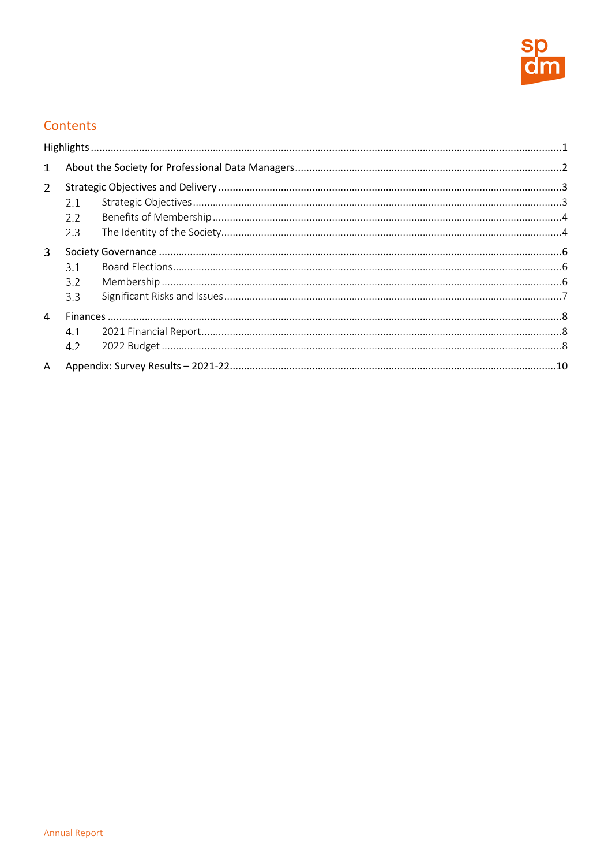

# Contents

| $\mathbf{1}$   |                                |  |  |
|----------------|--------------------------------|--|--|
| $\overline{2}$ | 2.1<br>2.2<br>2.3              |  |  |
| 3              | 3.1<br>3.2 <sub>2</sub><br>3.3 |  |  |
| 4              | 4.1<br>4.2                     |  |  |
| A              |                                |  |  |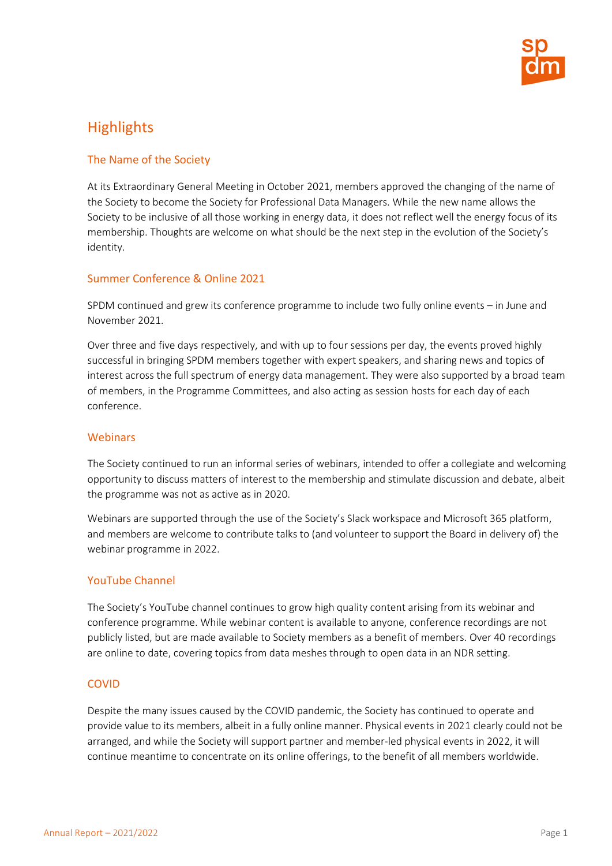

# <span id="page-2-0"></span>**Highlights**

# The Name of the Society

At its Extraordinary General Meeting in October 2021, members approved the changing of the name of the Society to become the Society for Professional Data Managers. While the new name allows the Society to be inclusive of all those working in energy data, it does not reflect well the energy focus of its membership. Thoughts are welcome on what should be the next step in the evolution of the Society's identity.

# Summer Conference & Online 2021

SPDM continued and grew its conference programme to include two fully online events – in June and November 2021.

Over three and five days respectively, and with up to four sessions per day, the events proved highly successful in bringing SPDM members together with expert speakers, and sharing news and topics of interest across the full spectrum of energy data management. They were also supported by a broad team of members, in the Programme Committees, and also acting as session hosts for each day of each conference.

### **Webinars**

The Society continued to run an informal series of webinars, intended to offer a collegiate and welcoming opportunity to discuss matters of interest to the membership and stimulate discussion and debate, albeit the programme was not as active as in 2020.

Webinars are supported through the use of the Society's Slack workspace and Microsoft 365 platform, and members are welcome to contribute talks to (and volunteer to support the Board in delivery of) the webinar programme in 2022.

# YouTube Channel

The Society's YouTube channel continues to grow high quality content arising from its webinar and conference programme. While webinar content is available to anyone, conference recordings are not publicly listed, but are made available to Society members as a benefit of members. Over 40 recordings are online to date, covering topics from data meshes through to open data in an NDR setting.

# COVID

Despite the many issues caused by the COVID pandemic, the Society has continued to operate and provide value to its members, albeit in a fully online manner. Physical events in 2021 clearly could not be arranged, and while the Society will support partner and member-led physical events in 2022, it will continue meantime to concentrate on its online offerings, to the benefit of all members worldwide.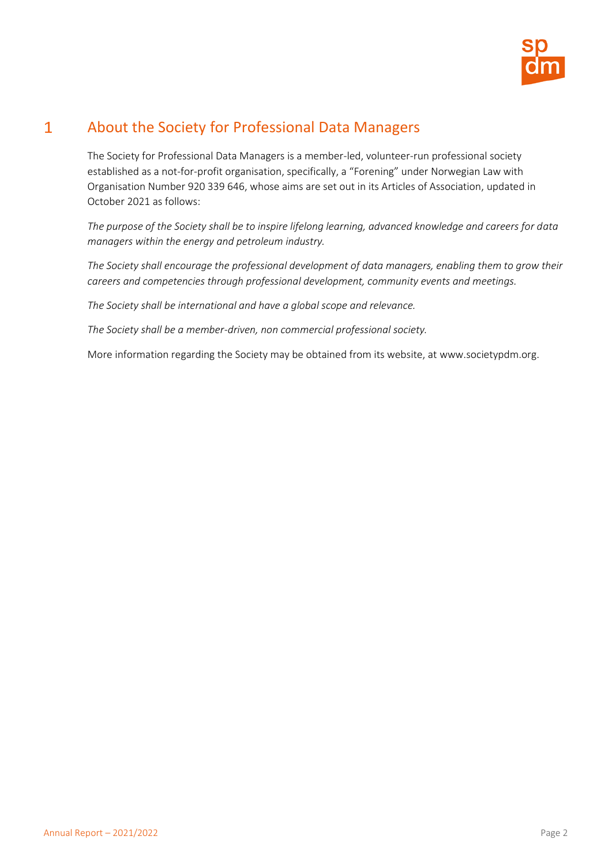

#### $\mathbf{1}$ About the Society for Professional Data Managers

<span id="page-3-0"></span>The Society for Professional Data Managers is a member-led, volunteer-run professional society established as a not-for-profit organisation, specifically, a "Forening" under Norwegian Law with Organisation Number 920 339 646, whose aims are set out in its Articles of Association, updated in October 2021 as follows:

*The purpose of the Society shall be to inspire lifelong learning, advanced knowledge and careers for data managers within the energy and petroleum industry.*

*The Society shall encourage the professional development of data managers, enabling them to grow their careers and competencies through professional development, community events and meetings.*

*The Society shall be international and have a global scope and relevance.*

*The Society shall be a member-driven, non commercial professional society.*

More information regarding the Society may be obtained from its website, a[t www.societypdm.org.](http://www.societypdm.org/)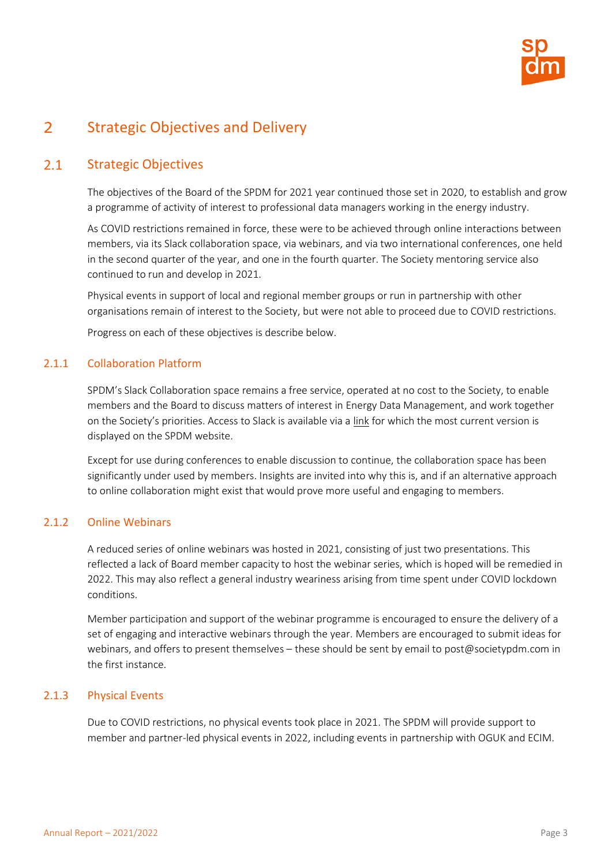

#### <span id="page-4-0"></span> $\overline{2}$ Strategic Objectives and Delivery

#### $2.1$ Strategic Objectives

<span id="page-4-1"></span>The objectives of the Board of the SPDM for 2021 year continued those set in 2020, to establish and grow a programme of activity of interest to professional data managers working in the energy industry.

As COVID restrictions remained in force, these were to be achieved through online interactions between members, via its Slack collaboration space, via webinars, and via two international conferences, one held in the second quarter of the year, and one in the fourth quarter. The Society mentoring service also continued to run and develop in 2021.

Physical events in support of local and regional member groups or run in partnership with other organisations remain of interest to the Society, but were not able to proceed due to COVID restrictions.

Progress on each of these objectives is describe below.

# 2.1.1 Collaboration Platform

SPDM's Slack Collaboration space remains a free service, operated at no cost to the Society, to enable members and the Board to discuss matters of interest in Energy Data Management, and work together on the Society's priorities. Access to Slack is available via a [link](https://join.slack.com/t/societypdm/shared_invite/zt-bqfact0m-e7_vryilqjuSFOc8~02zwQ) for which the most current version is displayed on the SPDM website.

Except for use during conferences to enable discussion to continue, the collaboration space has been significantly under used by members. Insights are invited into why this is, and if an alternative approach to online collaboration might exist that would prove more useful and engaging to members.

# 2.1.2 Online Webinars

A reduced series of online webinars was hosted in 2021, consisting of just two presentations. This reflected a lack of Board member capacity to host the webinar series, which is hoped will be remedied in 2022. This may also reflect a general industry weariness arising from time spent under COVID lockdown conditions.

Member participation and support of the webinar programme is encouraged to ensure the delivery of a set of engaging and interactive webinars through the year. Members are encouraged to submit ideas for webinars, and offers to present themselves – these should be sent by email to [post@societypdm.com](mailto:post@societypdm.com) in the first instance.

# 2.1.3 Physical Events

Due to COVID restrictions, no physical events took place in 2021. The SPDM will provide support to member and partner-led physical events in 2022, including events in partnership with OGUK and ECIM.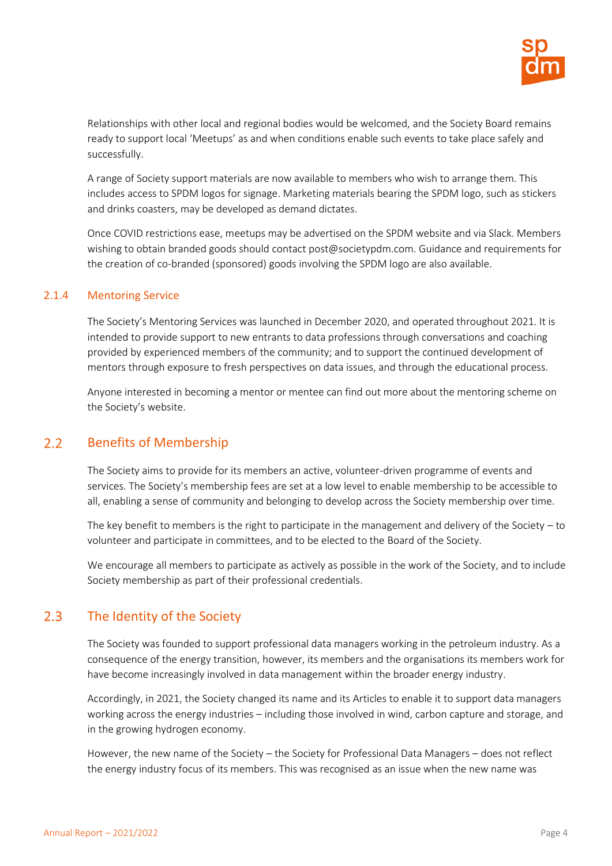

Relationships with other local and regional bodies would be welcomed, and the Society Board remains ready to support local 'Meetups' as and when conditions enable such events to take place safely and successfully.

A range of Society support materials are now available to members who wish to arrange them. This includes access to SPDM logos for signage. Marketing materials bearing the SPDM logo, such as stickers and drinks coasters, may be developed as demand dictates.

Once COVID restrictions ease, meetups may be advertised on the SPDM website and via Slack. Members wishing to obtain branded goods should contact [post@societypdm.com.](mailto:post@societypdm.com) Guidance and requirements for the creation of co-branded (sponsored) goods involving the SPDM logo are also available.

### 2.1.4 Mentoring Service

The Society's Mentoring Services was launched in December 2020, and operated throughout 2021. It is intended to provide support to new entrants to data professions through conversations and coaching provided by experienced members of the community; and to support the continued development of mentors through exposure to fresh perspectives on data issues, and through the educational process.

<span id="page-5-0"></span>Anyone interested in becoming a mentor or mentee can find out more about the mentoring scheme on the [Society's website](https://societypdm.com/get-involved/mentoring).

#### $2.2$ Benefits of Membership

The Society aims to provide for its members an active, volunteer-driven programme of events and services. The Society's membership fees are set at a low level to enable membership to be accessible to all, enabling a sense of community and belonging to develop across the Society membership over time.

The key benefit to members is the right to participate in the management and delivery of the Society – to volunteer and participate in committees, and to be elected to the Board of the Society.

<span id="page-5-1"></span>We encourage all members to participate as actively as possible in the work of the Society, and to include Society membership as part of their professional credentials.

#### $2.3$ The Identity of the Society

The Society was founded to support professional data managers working in the petroleum industry. As a consequence of the energy transition, however, its members and the organisations its members work for have become increasingly involved in data management within the broader energy industry.

Accordingly, in 2021, the Society changed its name and its Articles to enable it to support data managers working across the energy industries – including those involved in wind, carbon capture and storage, and in the growing hydrogen economy.

However, the new name of the Society – the Society for Professional Data Managers – does not reflect the energy industry focus of its members. This was recognised as an issue when the new name was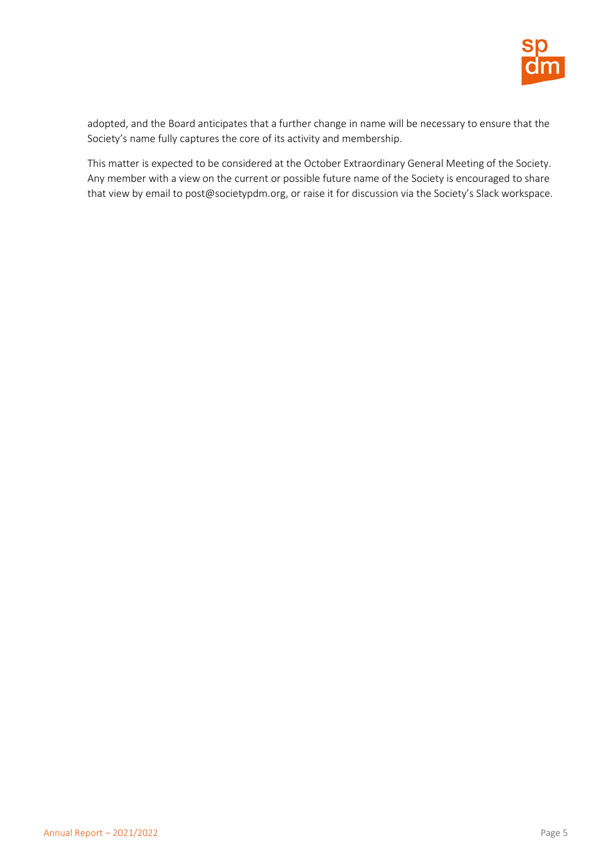

adopted, and the Board anticipates that a further change in name will be necessary to ensure that the Society's name fully captures the core of its activity and membership.

This matter is expected to be considered at the October Extraordinary General Meeting of the Society. Any member with a view on the current or possible future name of the Society is encouraged to share that view by email to [post@societypdm.org,](mailto:post@societypdm.org) or raise it for discussion via the Society's Slack workspace.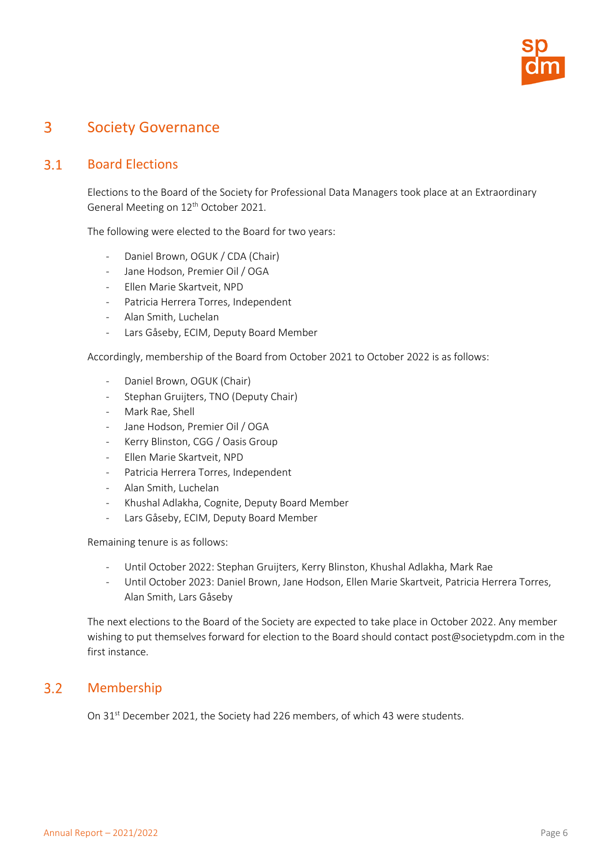

#### <span id="page-7-0"></span> $\overline{3}$ Society Governance

#### $3.1$ Board Elections

<span id="page-7-1"></span>Elections to the Board of the Society for Professional Data Managers took place at an Extraordinary General Meeting on 12<sup>th</sup> October 2021.

The following were elected to the Board for two years:

- Daniel Brown, OGUK / CDA (Chair)
- Jane Hodson, Premier Oil / OGA
- Ellen Marie Skartveit, NPD
- Patricia Herrera Torres, Independent
- Alan Smith, Luchelan
- Lars Gåseby, ECIM, Deputy Board Member

Accordingly, membership of the Board from October 2021 to October 2022 is as follows:

- Daniel Brown, OGUK (Chair)
- Stephan Gruijters, TNO (Deputy Chair)
- Mark Rae, Shell
- Jane Hodson, Premier Oil / OGA
- Kerry Blinston, CGG / Oasis Group
- Ellen Marie Skartveit, NPD
- Patricia Herrera Torres, Independent
- Alan Smith, Luchelan
- Khushal Adlakha, Cognite, Deputy Board Member
- Lars Gåseby, ECIM, Deputy Board Member

Remaining tenure is as follows:

- Until October 2022: Stephan Gruijters, Kerry Blinston, Khushal Adlakha, Mark Rae
- Until October 2023: Daniel Brown, Jane Hodson, Ellen Marie Skartveit, Patricia Herrera Torres, Alan Smith, Lars Gåseby

The next elections to the Board of the Society are expected to take place in October 2022. Any member wishing to put themselves forward for election to the Board should contac[t post@societypdm.com](mailto:post@societypdm.com) in the first instance.

#### <span id="page-7-2"></span> $3.2$ Membership

On 31<sup>st</sup> December 2021, the Society had 226 members, of which 43 were students.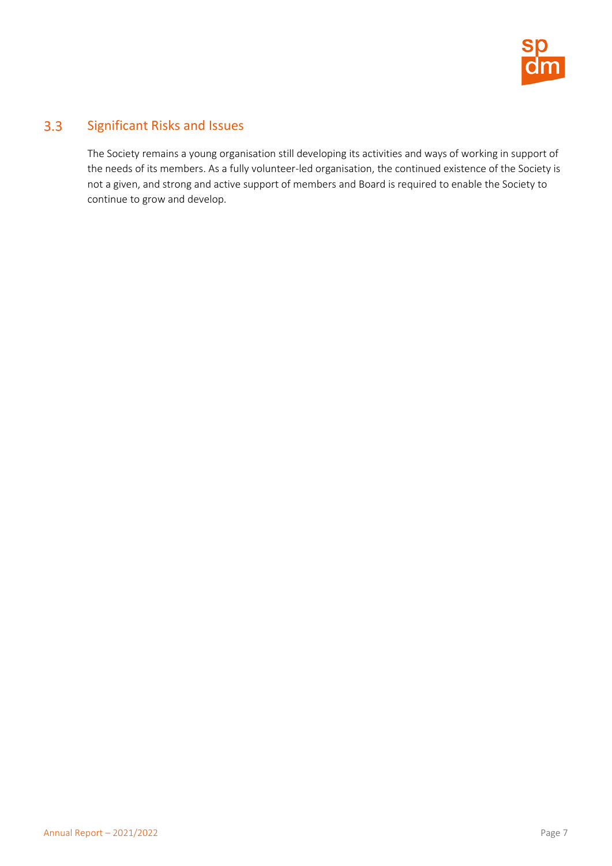

#### $3.3$ Significant Risks and Issues

<span id="page-8-0"></span>The Society remains a young organisation still developing its activities and ways of working in support of the needs of its members. As a fully volunteer-led organisation, the continued existence of the Society is not a given, and strong and active support of members and Board is required to enable the Society to continue to grow and develop.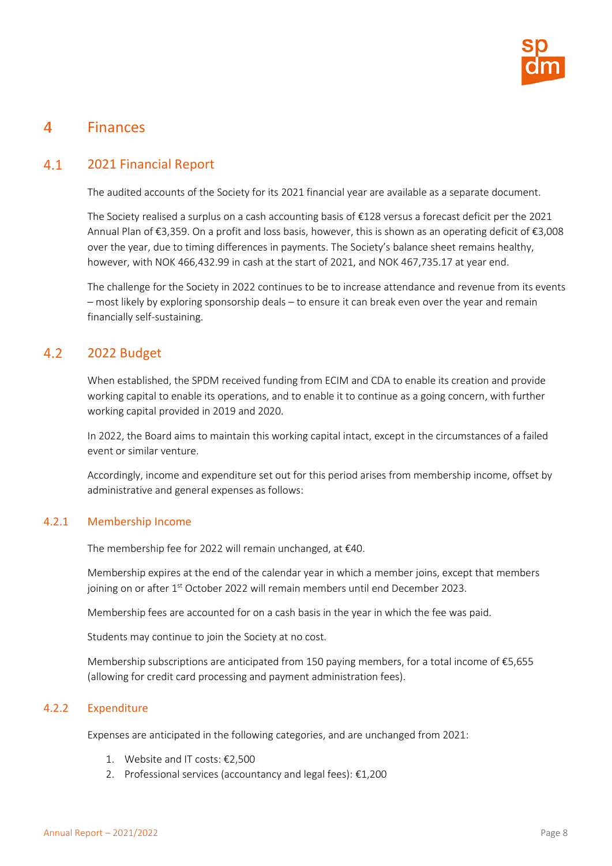

#### <span id="page-9-0"></span> $\overline{4}$ Finances

#### $4.1$ 2021 Financial Report

<span id="page-9-1"></span>The audited accounts of the Society for its 2021 financial year are available as a separate document.

The Society realised a surplus on a cash accounting basis of €128 versus a forecast deficit per the 2021 Annual Plan of €3,359. On a profit and loss basis, however, this is shown as an operating deficit of €3,008 over the year, due to timing differences in payments. The Society's balance sheet remains healthy, however, with NOK 466,432.99 in cash at the start of 2021, and NOK 467,735.17 at year end.

The challenge for the Society in 2022 continues to be to increase attendance and revenue from its events – most likely by exploring sponsorship deals – to ensure it can break even over the year and remain financially self-sustaining.

#### $4.2$ 2022 Budget

<span id="page-9-2"></span>When established, the SPDM received funding from ECIM and CDA to enable its creation and provide working capital to enable its operations, and to enable it to continue as a going concern, with further working capital provided in 2019 and 2020.

In 2022, the Board aims to maintain this working capital intact, except in the circumstances of a failed event or similar venture.

Accordingly, income and expenditure set out for this period arises from membership income, offset by administrative and general expenses as follows:

# 4.2.1 Membership Income

The membership fee for 2022 will remain unchanged, at €40.

Membership expires at the end of the calendar year in which a member joins, except that members joining on or after 1<sup>st</sup> October 2022 will remain members until end December 2023.

Membership fees are accounted for on a cash basis in the year in which the fee was paid.

Students may continue to join the Society at no cost.

Membership subscriptions are anticipated from 150 paying members, for a total income of €5,655 (allowing for credit card processing and payment administration fees).

# 4.2.2 Expenditure

Expenses are anticipated in the following categories, and are unchanged from 2021:

- 1. Website and IT costs: €2,500
- 2. Professional services (accountancy and legal fees): €1,200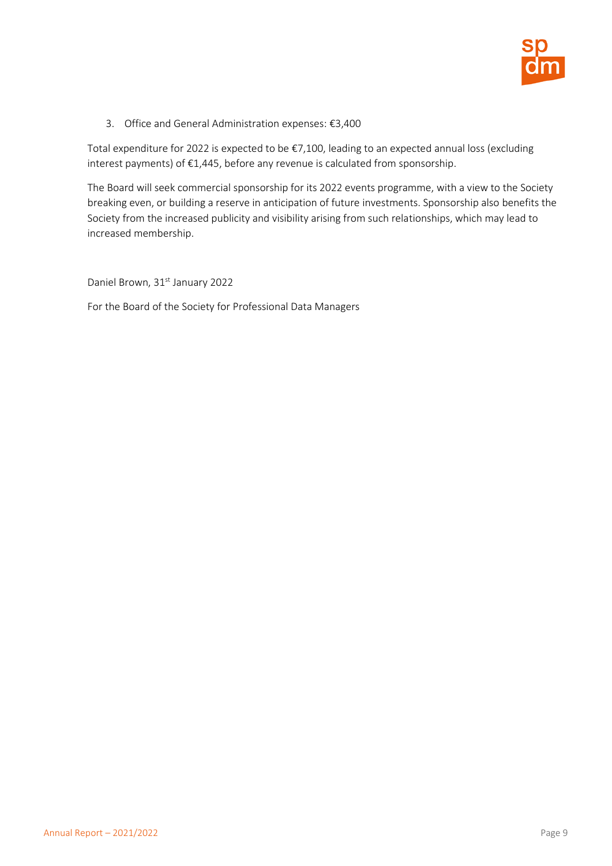

3. Office and General Administration expenses: €3,400

Total expenditure for 2022 is expected to be €7,100, leading to an expected annual loss (excluding interest payments) of €1,445, before any revenue is calculated from sponsorship.

The Board will seek commercial sponsorship for its 2022 events programme, with a view to the Society breaking even, or building a reserve in anticipation of future investments. Sponsorship also benefits the Society from the increased publicity and visibility arising from such relationships, which may lead to increased membership.

Daniel Brown, 31<sup>st</sup> January 2022

For the Board of the Society for Professional Data Managers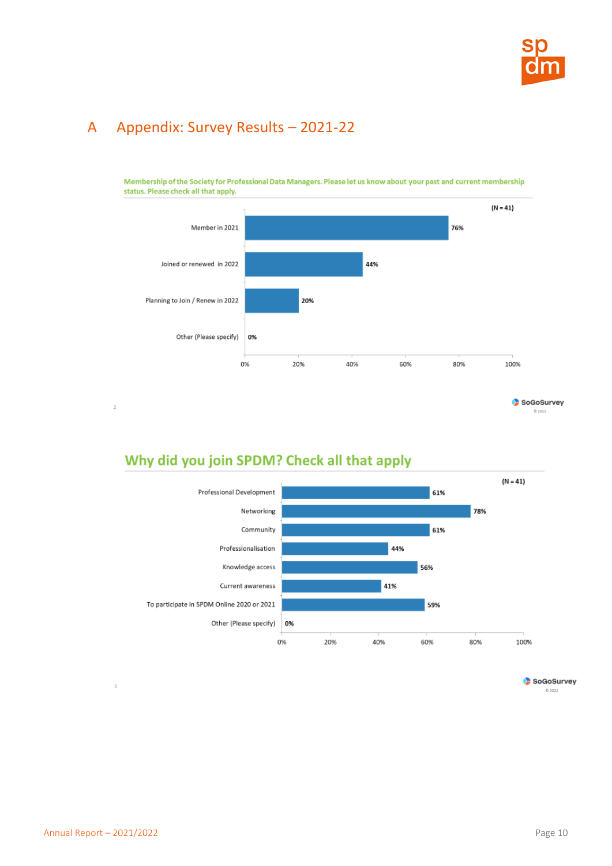

# <span id="page-11-0"></span>A Appendix: Survey Results – 2021-22



Membership of the Society for Professional Data Managers. Please let us know about your past and current membership status. Please check all that apply.

# Why did you join SPDM? Check all that apply



SoGoSurvey 0 2022

 $\bar{3}$ 

 $\,2\,$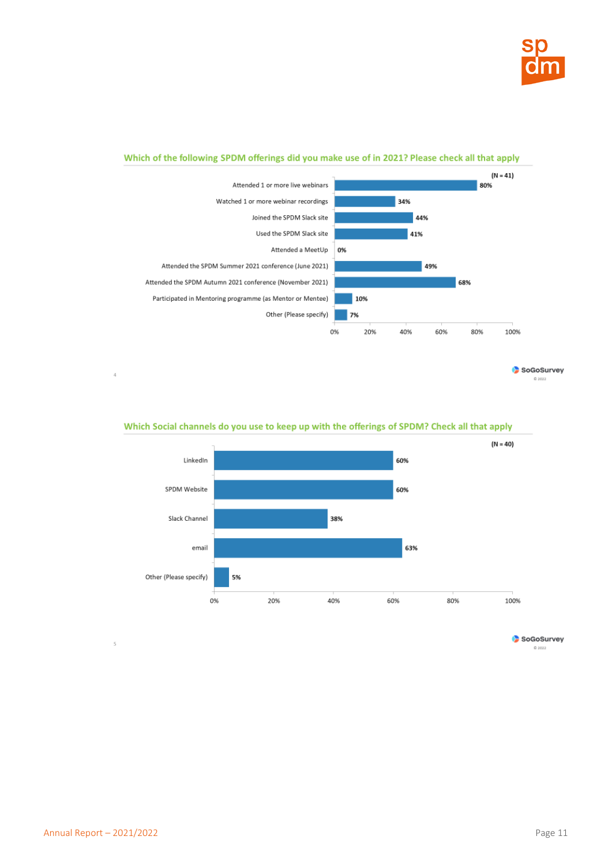

### Which of the following SPDM offerings did you make use of in 2021? Please check all that apply



SoGoSurvey 0 2022



### Which Social channels do you use to keep up with the offerings of SPDM? Check all that apply

SoGoSurvey 0 2022

 $\overline{5}$ 

 $\bar{4}$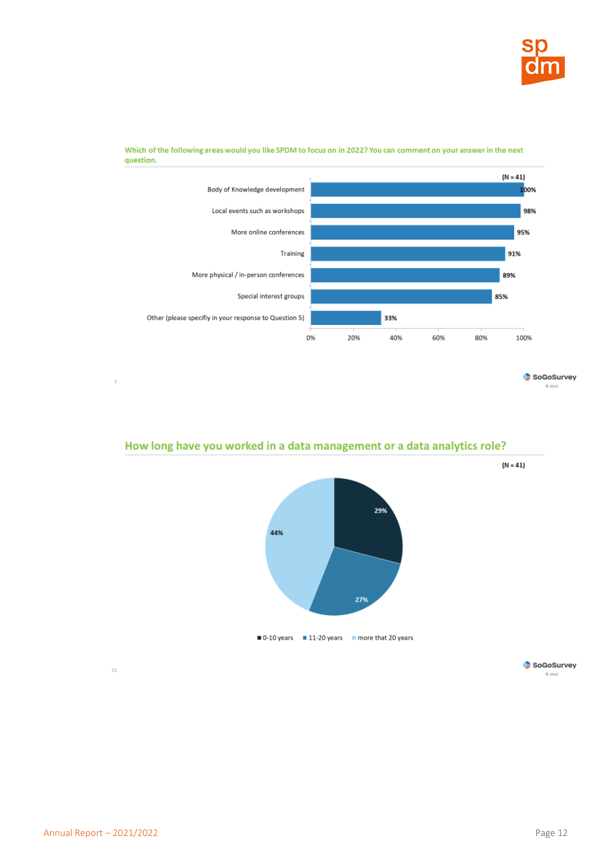



Which of the following areas would you like SPDM to focus on in 2022? You can comment on your answer in the next question.

#### SoGoSurvey 0 2022

# How long have you worked in a data management or a data analytics role?



 $\tau$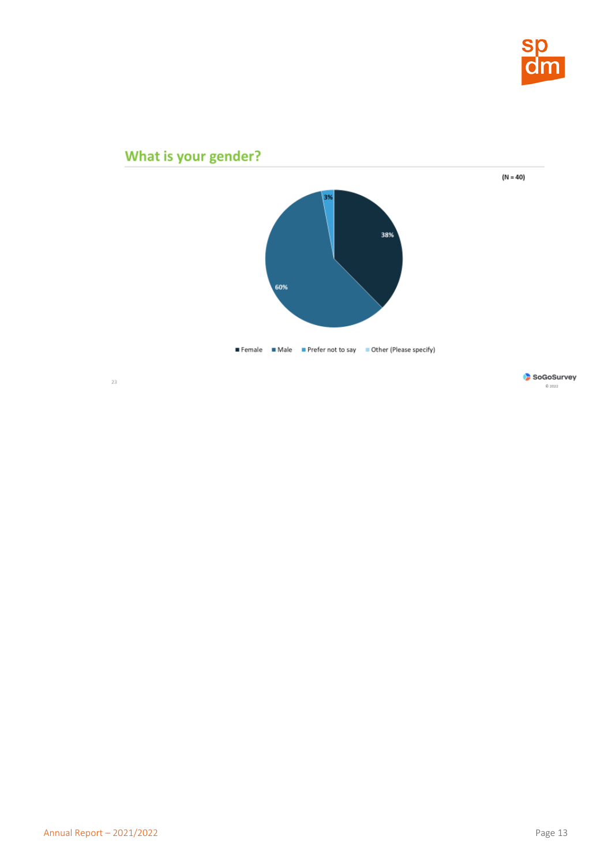

# What is your gender?  $(N = 40)$ 3% 38% 60% Female Male Prefer not to say Other (Please specify)  $\sqrt{23}$

SoGoSurvey  $\otimes$  2022